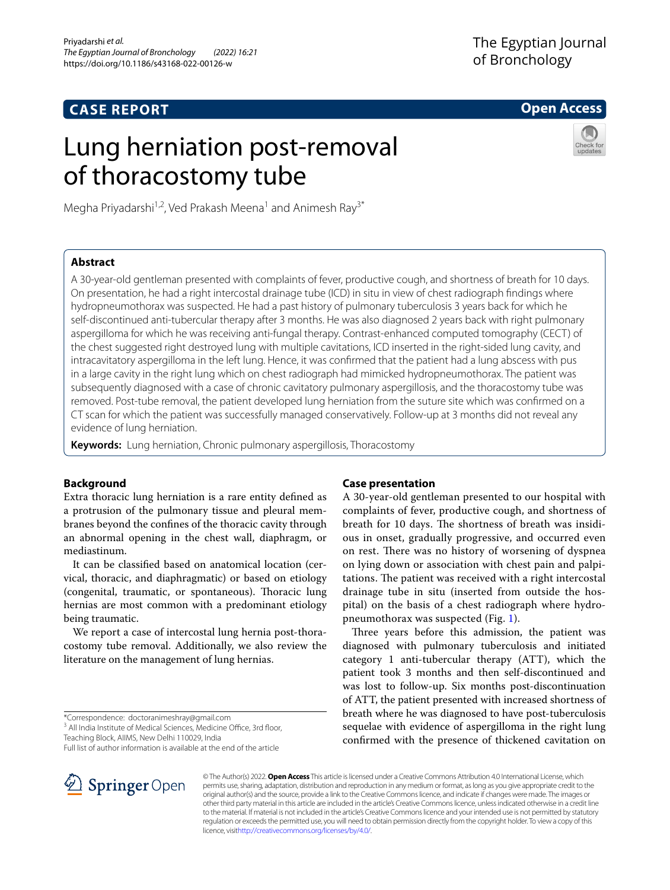# **CASE REPORT**

**Open Access**

# Lung herniation post-removal of thoracostomy tube



Megha Priyadarshi<sup>1,2</sup>, Ved Prakash Meena<sup>1</sup> and Animesh Ray<sup>3\*</sup>

# **Abstract**

A 30-year-old gentleman presented with complaints of fever, productive cough, and shortness of breath for 10 days. On presentation, he had a right intercostal drainage tube (ICD) in situ in view of chest radiograph fndings where hydropneumothorax was suspected. He had a past history of pulmonary tuberculosis 3 years back for which he self-discontinued anti-tubercular therapy after 3 months. He was also diagnosed 2 years back with right pulmonary aspergilloma for which he was receiving anti-fungal therapy. Contrast-enhanced computed tomography (CECT) of the chest suggested right destroyed lung with multiple cavitations, ICD inserted in the right-sided lung cavity, and intracavitatory aspergilloma in the left lung. Hence, it was confrmed that the patient had a lung abscess with pus in a large cavity in the right lung which on chest radiograph had mimicked hydropneumothorax. The patient was subsequently diagnosed with a case of chronic cavitatory pulmonary aspergillosis, and the thoracostomy tube was removed. Post-tube removal, the patient developed lung herniation from the suture site which was confrmed on a CT scan for which the patient was successfully managed conservatively. Follow-up at 3 months did not reveal any evidence of lung herniation.

**Keywords:** Lung herniation, Chronic pulmonary aspergillosis, Thoracostomy

# **Background**

Extra thoracic lung herniation is a rare entity defned as a protrusion of the pulmonary tissue and pleural membranes beyond the confnes of the thoracic cavity through an abnormal opening in the chest wall, diaphragm, or mediastinum.

It can be classifed based on anatomical location (cervical, thoracic, and diaphragmatic) or based on etiology (congenital, traumatic, or spontaneous). Thoracic lung hernias are most common with a predominant etiology being traumatic.

We report a case of intercostal lung hernia post-thoracostomy tube removal. Additionally, we also review the literature on the management of lung hernias.

\*Correspondence: doctoranimeshray@gmail.com

<sup>3</sup> All India Institute of Medical Sciences, Medicine Office, 3rd floor, Teaching Block, AIIMS, New Delhi 110029, India

Full list of author information is available at the end of the article

# SpringerOpen

# **Case presentation**

A 30-year-old gentleman presented to our hospital with complaints of fever, productive cough, and shortness of breath for 10 days. The shortness of breath was insidious in onset, gradually progressive, and occurred even on rest. There was no history of worsening of dyspnea on lying down or association with chest pain and palpitations. The patient was received with a right intercostal drainage tube in situ (inserted from outside the hospital) on the basis of a chest radiograph where hydropneumothorax was suspected (Fig. [1\)](#page-1-0).

Three years before this admission, the patient was diagnosed with pulmonary tuberculosis and initiated category 1 anti-tubercular therapy (ATT), which the patient took 3 months and then self-discontinued and was lost to follow-up. Six months post-discontinuation of ATT, the patient presented with increased shortness of breath where he was diagnosed to have post-tuberculosis sequelae with evidence of aspergilloma in the right lung confrmed with the presence of thickened cavitation on

© The Author(s) 2022. **Open Access** This article is licensed under a Creative Commons Attribution 4.0 International License, which permits use, sharing, adaptation, distribution and reproduction in any medium or format, as long as you give appropriate credit to the original author(s) and the source, provide a link to the Creative Commons licence, and indicate if changes were made. The images or other third party material in this article are included in the article's Creative Commons licence, unless indicated otherwise in a credit line to the material. If material is not included in the article's Creative Commons licence and your intended use is not permitted by statutory regulation or exceeds the permitted use, you will need to obtain permission directly from the copyright holder. To view a copy of this licence, visi[thttp://creativecommons.org/licenses/by/4.0/](http://creativecommons.org/licenses/by/4.0/).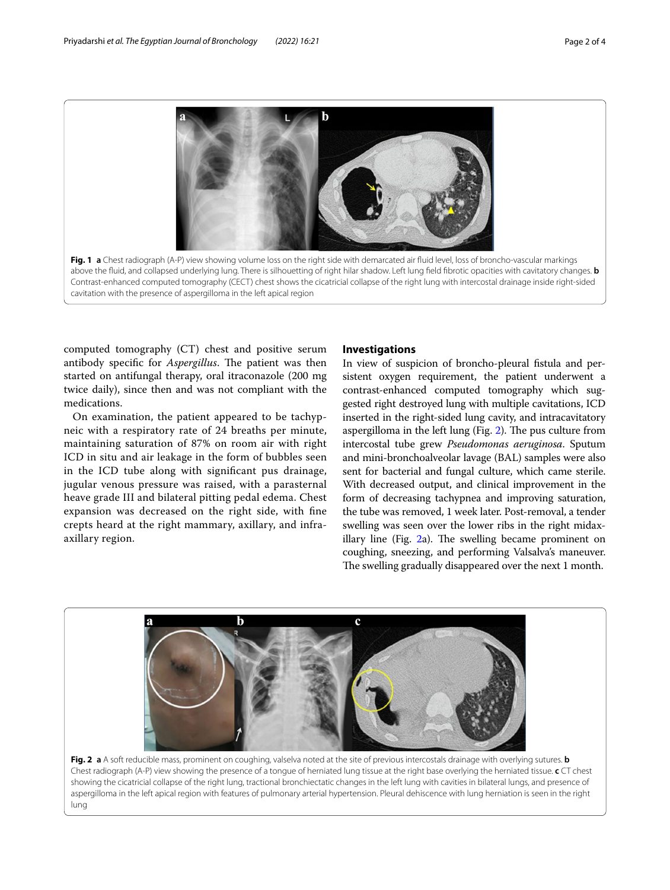

<span id="page-1-0"></span>computed tomography (CT) chest and positive serum antibody specific for *Aspergillus*. The patient was then started on antifungal therapy, oral itraconazole (200 mg twice daily), since then and was not compliant with the medications.

On examination, the patient appeared to be tachypneic with a respiratory rate of 24 breaths per minute, maintaining saturation of 87% on room air with right ICD in situ and air leakage in the form of bubbles seen in the ICD tube along with signifcant pus drainage, jugular venous pressure was raised, with a parasternal heave grade III and bilateral pitting pedal edema. Chest expansion was decreased on the right side, with fne crepts heard at the right mammary, axillary, and infraaxillary region.

## **Investigations**

In view of suspicion of broncho-pleural fstula and persistent oxygen requirement, the patient underwent a contrast-enhanced computed tomography which suggested right destroyed lung with multiple cavitations, ICD inserted in the right-sided lung cavity, and intracavitatory aspergilloma in the left lung (Fig.  $2$ ). The pus culture from intercostal tube grew *Pseudomonas aeruginosa*. Sputum and mini-bronchoalveolar lavage (BAL) samples were also sent for bacterial and fungal culture, which came sterile. With decreased output, and clinical improvement in the form of decreasing tachypnea and improving saturation, the tube was removed, 1 week later. Post-removal, a tender swelling was seen over the lower ribs in the right midaxillary line (Fig.  $2a$  $2a$ ). The swelling became prominent on coughing, sneezing, and performing Valsalva's maneuver. The swelling gradually disappeared over the next 1 month.



<span id="page-1-1"></span>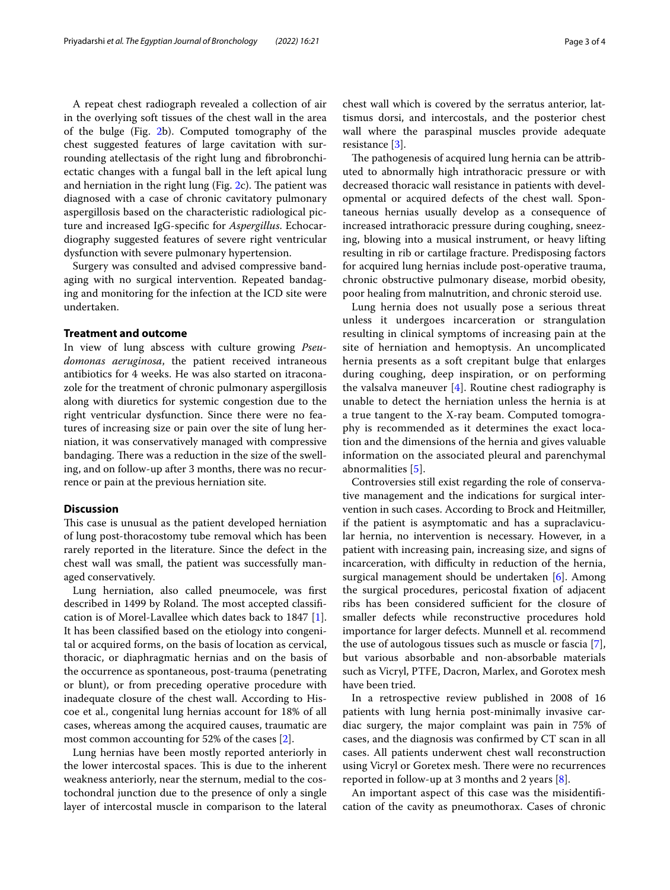A repeat chest radiograph revealed a collection of air in the overlying soft tissues of the chest wall in the area of the bulge (Fig. [2](#page-1-1)b). Computed tomography of the chest suggested features of large cavitation with surrounding atellectasis of the right lung and fbrobronchiectatic changes with a fungal ball in the left apical lung and herniation in the right lung (Fig.  $2c$ ). The patient was diagnosed with a case of chronic cavitatory pulmonary aspergillosis based on the characteristic radiological picture and increased IgG-specifc for *Aspergillus*. Echocardiography suggested features of severe right ventricular dysfunction with severe pulmonary hypertension.

Surgery was consulted and advised compressive bandaging with no surgical intervention. Repeated bandaging and monitoring for the infection at the ICD site were undertaken.

# **Treatment and outcome**

In view of lung abscess with culture growing *Pseudomonas aeruginosa*, the patient received intraneous antibiotics for 4 weeks. He was also started on itraconazole for the treatment of chronic pulmonary aspergillosis along with diuretics for systemic congestion due to the right ventricular dysfunction. Since there were no features of increasing size or pain over the site of lung herniation, it was conservatively managed with compressive bandaging. There was a reduction in the size of the swelling, and on follow-up after 3 months, there was no recurrence or pain at the previous herniation site.

# **Discussion**

This case is unusual as the patient developed herniation of lung post-thoracostomy tube removal which has been rarely reported in the literature. Since the defect in the chest wall was small, the patient was successfully managed conservatively.

Lung herniation, also called pneumocele, was frst described in 1499 by Roland. The most accepted classification is of Morel-Lavallee which dates back to 1847 [\[1](#page-3-0)]. It has been classifed based on the etiology into congenital or acquired forms, on the basis of location as cervical, thoracic, or diaphragmatic hernias and on the basis of the occurrence as spontaneous, post-trauma (penetrating or blunt), or from preceding operative procedure with inadequate closure of the chest wall. According to Hiscoe et al., congenital lung hernias account for 18% of all cases, whereas among the acquired causes, traumatic are most common accounting for 52% of the cases [\[2](#page-3-1)].

Lung hernias have been mostly reported anteriorly in the lower intercostal spaces. This is due to the inherent weakness anteriorly, near the sternum, medial to the costochondral junction due to the presence of only a single layer of intercostal muscle in comparison to the lateral chest wall which is covered by the serratus anterior, lattismus dorsi, and intercostals, and the posterior chest wall where the paraspinal muscles provide adequate resistance [[3\]](#page-3-2).

The pathogenesis of acquired lung hernia can be attributed to abnormally high intrathoracic pressure or with decreased thoracic wall resistance in patients with developmental or acquired defects of the chest wall. Spontaneous hernias usually develop as a consequence of increased intrathoracic pressure during coughing, sneezing, blowing into a musical instrument, or heavy lifting resulting in rib or cartilage fracture. Predisposing factors for acquired lung hernias include post-operative trauma, chronic obstructive pulmonary disease, morbid obesity, poor healing from malnutrition, and chronic steroid use.

Lung hernia does not usually pose a serious threat unless it undergoes incarceration or strangulation resulting in clinical symptoms of increasing pain at the site of herniation and hemoptysis. An uncomplicated hernia presents as a soft crepitant bulge that enlarges during coughing, deep inspiration, or on performing the valsalva maneuver  $[4]$  $[4]$ . Routine chest radiography is unable to detect the herniation unless the hernia is at a true tangent to the X-ray beam. Computed tomography is recommended as it determines the exact location and the dimensions of the hernia and gives valuable information on the associated pleural and parenchymal abnormalities [[5\]](#page-3-4).

Controversies still exist regarding the role of conservative management and the indications for surgical intervention in such cases. According to Brock and Heitmiller, if the patient is asymptomatic and has a supraclavicular hernia, no intervention is necessary. However, in a patient with increasing pain, increasing size, and signs of incarceration, with difficulty in reduction of the hernia, surgical management should be undertaken [\[6](#page-3-5)]. Among the surgical procedures, pericostal fxation of adjacent ribs has been considered sufficient for the closure of smaller defects while reconstructive procedures hold importance for larger defects. Munnell et al. recommend the use of autologous tissues such as muscle or fascia [\[7](#page-3-6)], but various absorbable and non-absorbable materials such as Vicryl, PTFE, Dacron, Marlex, and Gorotex mesh have been tried.

In a retrospective review published in 2008 of 16 patients with lung hernia post-minimally invasive cardiac surgery, the major complaint was pain in 75% of cases, and the diagnosis was confrmed by CT scan in all cases. All patients underwent chest wall reconstruction using Vicryl or Goretex mesh. There were no recurrences reported in follow-up at 3 months and 2 years [[8\]](#page-3-7).

An important aspect of this case was the misidentifcation of the cavity as pneumothorax. Cases of chronic